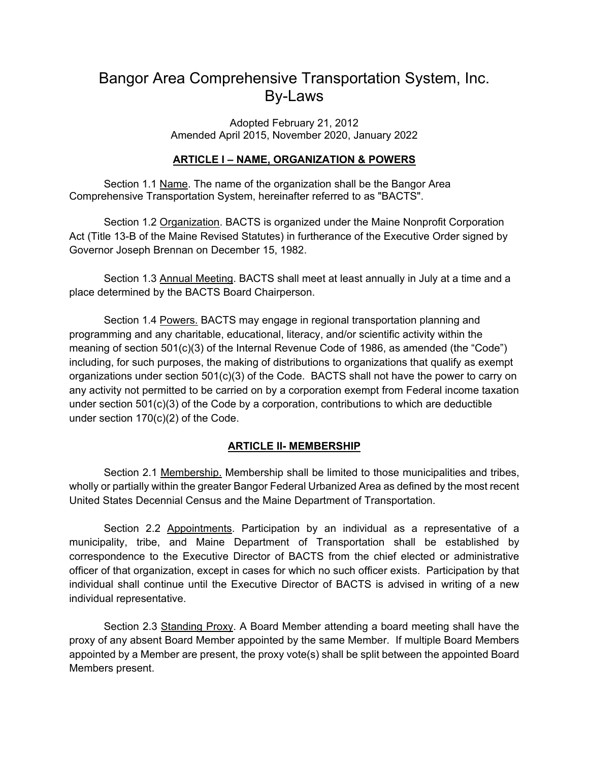# Bangor Area Comprehensive Transportation System, Inc. By-Laws

Adopted February 21, 2012 Amended April 2015, November 2020, January 2022

## **ARTICLE I – NAME, ORGANIZATION & POWERS**

Section 1.1 Name. The name of the organization shall be the Bangor Area Comprehensive Transportation System, hereinafter referred to as "BACTS".

Section 1.2 Organization. BACTS is organized under the Maine Nonprofit Corporation Act (Title 13-B of the Maine Revised Statutes) in furtherance of the Executive Order signed by Governor Joseph Brennan on December 15, 1982.

Section 1.3 Annual Meeting. BACTS shall meet at least annually in July at a time and a place determined by the BACTS Board Chairperson.

Section 1.4 Powers. BACTS may engage in regional transportation planning and programming and any charitable, educational, literacy, and/or scientific activity within the meaning of section 501(c)(3) of the Internal Revenue Code of 1986, as amended (the "Code") including, for such purposes, the making of distributions to organizations that qualify as exempt organizations under section 501(c)(3) of the Code. BACTS shall not have the power to carry on any activity not permitted to be carried on by a corporation exempt from Federal income taxation under section 501(c)(3) of the Code by a corporation, contributions to which are deductible under section 170(c)(2) of the Code.

## **ARTICLE II- MEMBERSHIP**

Section 2.1 Membership. Membership shall be limited to those municipalities and tribes, wholly or partially within the greater Bangor Federal Urbanized Area as defined by the most recent United States Decennial Census and the Maine Department of Transportation.

Section 2.2 Appointments. Participation by an individual as a representative of a municipality, tribe, and Maine Department of Transportation shall be established by correspondence to the Executive Director of BACTS from the chief elected or administrative officer of that organization, except in cases for which no such officer exists. Participation by that individual shall continue until the Executive Director of BACTS is advised in writing of a new individual representative.

Section 2.3 Standing Proxy. A Board Member attending a board meeting shall have the proxy of any absent Board Member appointed by the same Member. If multiple Board Members appointed by a Member are present, the proxy vote(s) shall be split between the appointed Board Members present.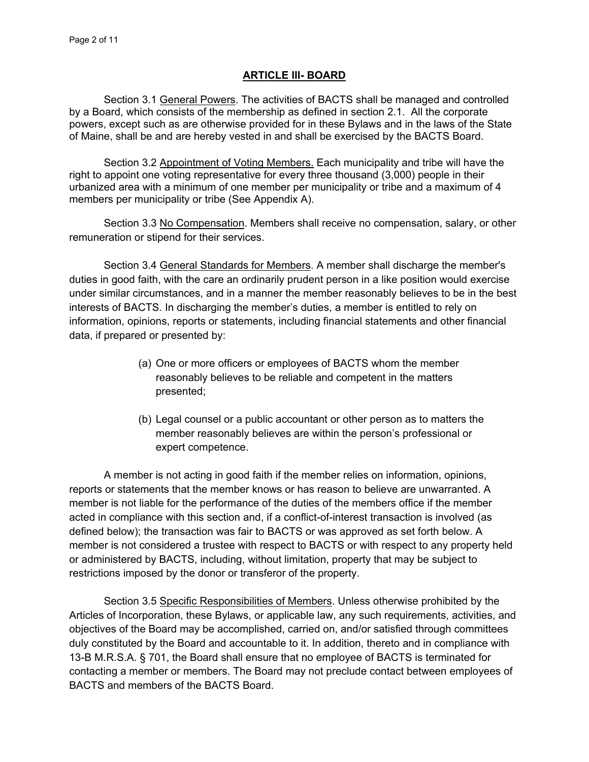#### **ARTICLE III- BOARD**

Section 3.1 General Powers. The activities of BACTS shall be managed and controlled by a Board, which consists of the membership as defined in section 2.1. All the corporate powers, except such as are otherwise provided for in these Bylaws and in the laws of the State of Maine, shall be and are hereby vested in and shall be exercised by the BACTS Board.

Section 3.2 Appointment of Voting Members. Each municipality and tribe will have the right to appoint one voting representative for every three thousand (3,000) people in their urbanized area with a minimum of one member per municipality or tribe and a maximum of 4 members per municipality or tribe (See Appendix A).

Section 3.3 No Compensation. Members shall receive no compensation, salary, or other remuneration or stipend for their services.

Section 3.4 General Standards for Members. A member shall discharge the member's duties in good faith, with the care an ordinarily prudent person in a like position would exercise under similar circumstances, and in a manner the member reasonably believes to be in the best interests of BACTS. In discharging the member's duties, a member is entitled to rely on information, opinions, reports or statements, including financial statements and other financial data, if prepared or presented by:

- (a) One or more officers or employees of BACTS whom the member reasonably believes to be reliable and competent in the matters presented;
- (b) Legal counsel or a public accountant or other person as to matters the member reasonably believes are within the person's professional or expert competence.

 A member is not acting in good faith if the member relies on information, opinions, reports or statements that the member knows or has reason to believe are unwarranted. A member is not liable for the performance of the duties of the members office if the member acted in compliance with this section and, if a conflict-of-interest transaction is involved (as defined below); the transaction was fair to BACTS or was approved as set forth below. A member is not considered a trustee with respect to BACTS or with respect to any property held or administered by BACTS, including, without limitation, property that may be subject to restrictions imposed by the donor or transferor of the property.

Section 3.5 Specific Responsibilities of Members. Unless otherwise prohibited by the Articles of Incorporation, these Bylaws, or applicable law, any such requirements, activities, and objectives of the Board may be accomplished, carried on, and/or satisfied through committees duly constituted by the Board and accountable to it. In addition, thereto and in compliance with 13-B M.R.S.A. § 701, the Board shall ensure that no employee of BACTS is terminated for contacting a member or members. The Board may not preclude contact between employees of BACTS and members of the BACTS Board.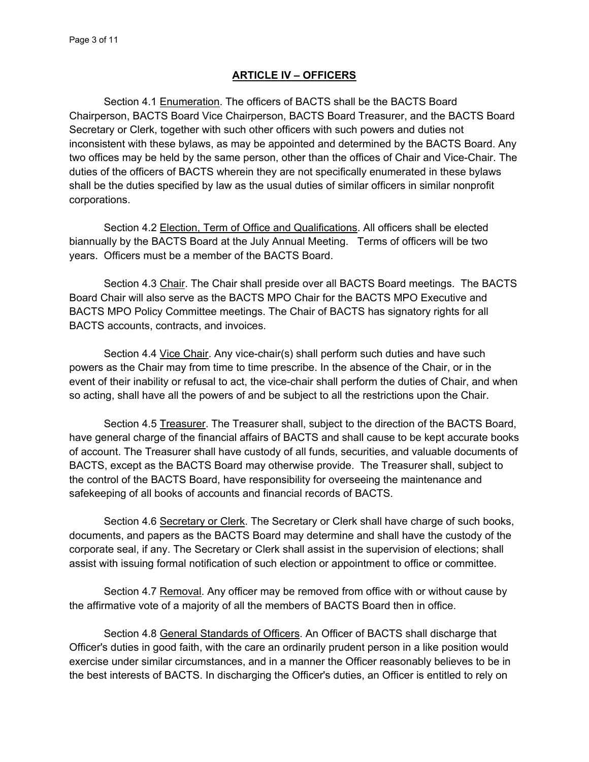#### **ARTICLE IV – OFFICERS**

 Section 4.1 Enumeration. The officers of BACTS shall be the BACTS Board Chairperson, BACTS Board Vice Chairperson, BACTS Board Treasurer, and the BACTS Board Secretary or Clerk, together with such other officers with such powers and duties not inconsistent with these bylaws, as may be appointed and determined by the BACTS Board. Any two offices may be held by the same person, other than the offices of Chair and Vice-Chair. The duties of the officers of BACTS wherein they are not specifically enumerated in these bylaws shall be the duties specified by law as the usual duties of similar officers in similar nonprofit corporations.

 Section 4.2 Election, Term of Office and Qualifications. All officers shall be elected biannually by the BACTS Board at the July Annual Meeting. Terms of officers will be two years. Officers must be a member of the BACTS Board.

Section 4.3 Chair. The Chair shall preside over all BACTS Board meetings. The BACTS Board Chair will also serve as the BACTS MPO Chair for the BACTS MPO Executive and BACTS MPO Policy Committee meetings. The Chair of BACTS has signatory rights for all BACTS accounts, contracts, and invoices.

Section 4.4 Vice Chair. Any vice-chair(s) shall perform such duties and have such powers as the Chair may from time to time prescribe. In the absence of the Chair, or in the event of their inability or refusal to act, the vice-chair shall perform the duties of Chair, and when so acting, shall have all the powers of and be subject to all the restrictions upon the Chair.

Section 4.5 Treasurer. The Treasurer shall, subject to the direction of the BACTS Board, have general charge of the financial affairs of BACTS and shall cause to be kept accurate books of account. The Treasurer shall have custody of all funds, securities, and valuable documents of BACTS, except as the BACTS Board may otherwise provide. The Treasurer shall, subject to the control of the BACTS Board, have responsibility for overseeing the maintenance and safekeeping of all books of accounts and financial records of BACTS.

Section 4.6 Secretary or Clerk. The Secretary or Clerk shall have charge of such books, documents, and papers as the BACTS Board may determine and shall have the custody of the corporate seal, if any. The Secretary or Clerk shall assist in the supervision of elections; shall assist with issuing formal notification of such election or appointment to office or committee.

 Section 4.7 Removal. Any officer may be removed from office with or without cause by the affirmative vote of a majority of all the members of BACTS Board then in office.

Section 4.8 General Standards of Officers. An Officer of BACTS shall discharge that Officer's duties in good faith, with the care an ordinarily prudent person in a like position would exercise under similar circumstances, and in a manner the Officer reasonably believes to be in the best interests of BACTS. In discharging the Officer's duties, an Officer is entitled to rely on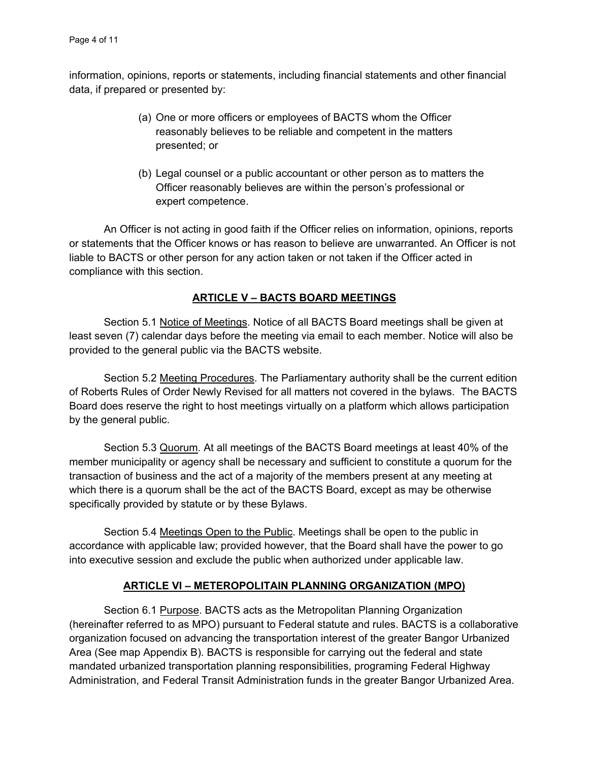information, opinions, reports or statements, including financial statements and other financial data, if prepared or presented by:

- (a) One or more officers or employees of BACTS whom the Officer reasonably believes to be reliable and competent in the matters presented; or
- (b) Legal counsel or a public accountant or other person as to matters the Officer reasonably believes are within the person's professional or expert competence.

 An Officer is not acting in good faith if the Officer relies on information, opinions, reports or statements that the Officer knows or has reason to believe are unwarranted. An Officer is not liable to BACTS or other person for any action taken or not taken if the Officer acted in compliance with this section.

## **ARTICLE V – BACTS BOARD MEETINGS**

Section 5.1 Notice of Meetings. Notice of all BACTS Board meetings shall be given at least seven (7) calendar days before the meeting via email to each member. Notice will also be provided to the general public via the BACTS website.

Section 5.2 Meeting Procedures. The Parliamentary authority shall be the current edition of Roberts Rules of Order Newly Revised for all matters not covered in the bylaws. The BACTS Board does reserve the right to host meetings virtually on a platform which allows participation by the general public.

Section 5.3 Quorum. At all meetings of the BACTS Board meetings at least 40% of the member municipality or agency shall be necessary and sufficient to constitute a quorum for the transaction of business and the act of a majority of the members present at any meeting at which there is a quorum shall be the act of the BACTS Board, except as may be otherwise specifically provided by statute or by these Bylaws.

Section 5.4 Meetings Open to the Public. Meetings shall be open to the public in accordance with applicable law; provided however, that the Board shall have the power to go into executive session and exclude the public when authorized under applicable law.

## **ARTICLE VI – METEROPOLITAIN PLANNING ORGANIZATION (MPO)**

Section 6.1 Purpose. BACTS acts as the Metropolitan Planning Organization (hereinafter referred to as MPO) pursuant to Federal statute and rules. BACTS is a collaborative organization focused on advancing the transportation interest of the greater Bangor Urbanized Area (See map Appendix B). BACTS is responsible for carrying out the federal and state mandated urbanized transportation planning responsibilities, programing Federal Highway Administration, and Federal Transit Administration funds in the greater Bangor Urbanized Area.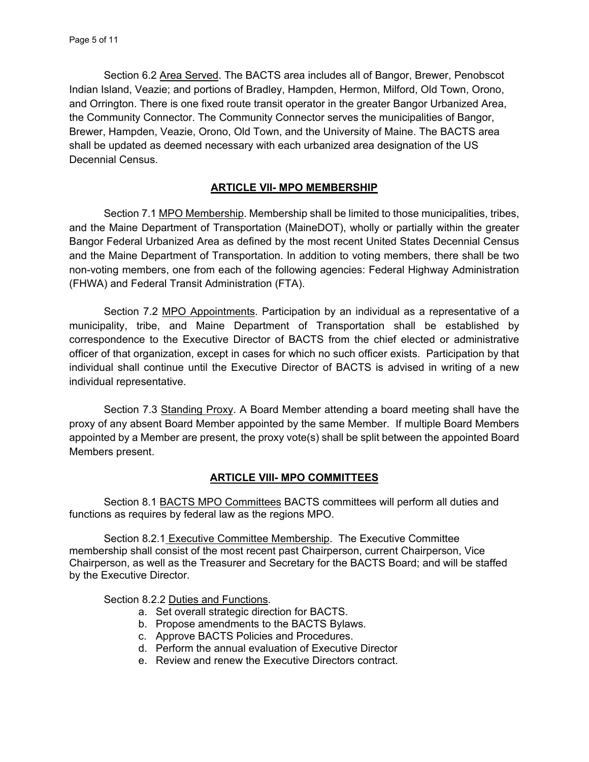Section 6.2 Area Served. The BACTS area includes all of Bangor, Brewer, Penobscot Indian Island, Veazie; and portions of Bradley, Hampden, Hermon, Milford, Old Town, Orono, and Orrington. There is one fixed route transit operator in the greater Bangor Urbanized Area, the Community Connector. The Community Connector serves the municipalities of Bangor, Brewer, Hampden, Veazie, Orono, Old Town, and the University of Maine. The BACTS area shall be updated as deemed necessary with each urbanized area designation of the US Decennial Census.

## **ARTICLE VII- MPO MEMBERSHIP**

Section 7.1 MPO Membership. Membership shall be limited to those municipalities, tribes, and the Maine Department of Transportation (MaineDOT), wholly or partially within the greater Bangor Federal Urbanized Area as defined by the most recent United States Decennial Census and the Maine Department of Transportation. In addition to voting members, there shall be two non-voting members, one from each of the following agencies: Federal Highway Administration (FHWA) and Federal Transit Administration (FTA).

Section 7.2 MPO Appointments. Participation by an individual as a representative of a municipality, tribe, and Maine Department of Transportation shall be established by correspondence to the Executive Director of BACTS from the chief elected or administrative officer of that organization, except in cases for which no such officer exists. Participation by that individual shall continue until the Executive Director of BACTS is advised in writing of a new individual representative.

Section 7.3 Standing Proxy. A Board Member attending a board meeting shall have the proxy of any absent Board Member appointed by the same Member. If multiple Board Members appointed by a Member are present, the proxy vote(s) shall be split between the appointed Board Members present.

#### **ARTICLE VIII- MPO COMMITTEES**

Section 8.1 BACTS MPO Committees BACTS committees will perform all duties and functions as requires by federal law as the regions MPO.

Section 8.2.1 Executive Committee Membership. The Executive Committee membership shall consist of the most recent past Chairperson, current Chairperson, Vice Chairperson, as well as the Treasurer and Secretary for the BACTS Board; and will be staffed by the Executive Director.

Section 8.2.2 Duties and Functions.

- a. Set overall strategic direction for BACTS.
- b. Propose amendments to the BACTS Bylaws.
- c. Approve BACTS Policies and Procedures.
- d. Perform the annual evaluation of Executive Director
- e. Review and renew the Executive Directors contract.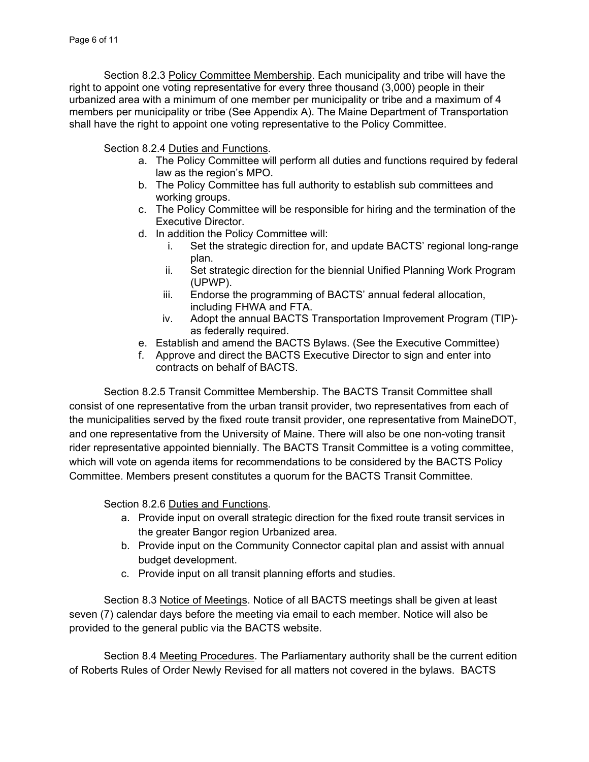Section 8.2.3 Policy Committee Membership. Each municipality and tribe will have the right to appoint one voting representative for every three thousand (3,000) people in their urbanized area with a minimum of one member per municipality or tribe and a maximum of 4 members per municipality or tribe (See Appendix A). The Maine Department of Transportation shall have the right to appoint one voting representative to the Policy Committee.

Section 8.2.4 Duties and Functions.

- a. The Policy Committee will perform all duties and functions required by federal law as the region's MPO.
- b. The Policy Committee has full authority to establish sub committees and working groups.
- c. The Policy Committee will be responsible for hiring and the termination of the Executive Director.
- d. In addition the Policy Committee will:
	- i. Set the strategic direction for, and update BACTS' regional long-range plan.
	- ii. Set strategic direction for the biennial Unified Planning Work Program (UPWP).
	- iii. Endorse the programming of BACTS' annual federal allocation, including FHWA and FTA.
	- iv. Adopt the annual BACTS Transportation Improvement Program (TIP) as federally required.
- e. Establish and amend the BACTS Bylaws. (See the Executive Committee)
- f. Approve and direct the BACTS Executive Director to sign and enter into contracts on behalf of BACTS.

Section 8.2.5 Transit Committee Membership. The BACTS Transit Committee shall consist of one representative from the urban transit provider, two representatives from each of the municipalities served by the fixed route transit provider, one representative from MaineDOT, and one representative from the University of Maine. There will also be one non-voting transit rider representative appointed biennially. The BACTS Transit Committee is a voting committee, which will vote on agenda items for recommendations to be considered by the BACTS Policy Committee. Members present constitutes a quorum for the BACTS Transit Committee.

Section 8.2.6 Duties and Functions.

- a. Provide input on overall strategic direction for the fixed route transit services in the greater Bangor region Urbanized area.
- b. Provide input on the Community Connector capital plan and assist with annual budget development.
- c. Provide input on all transit planning efforts and studies.

Section 8.3 Notice of Meetings. Notice of all BACTS meetings shall be given at least seven (7) calendar days before the meeting via email to each member. Notice will also be provided to the general public via the BACTS website.

Section 8.4 Meeting Procedures. The Parliamentary authority shall be the current edition of Roberts Rules of Order Newly Revised for all matters not covered in the bylaws. BACTS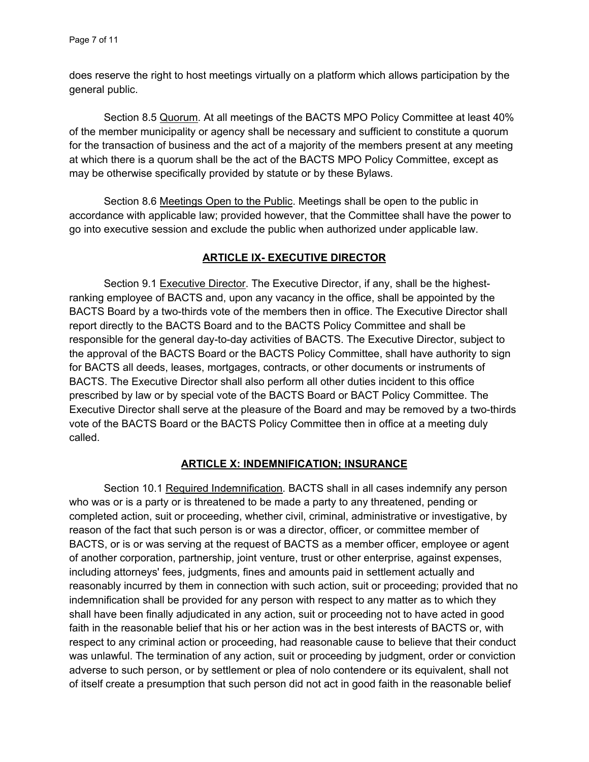does reserve the right to host meetings virtually on a platform which allows participation by the general public.

Section 8.5 Quorum. At all meetings of the BACTS MPO Policy Committee at least 40% of the member municipality or agency shall be necessary and sufficient to constitute a quorum for the transaction of business and the act of a majority of the members present at any meeting at which there is a quorum shall be the act of the BACTS MPO Policy Committee, except as may be otherwise specifically provided by statute or by these Bylaws.

Section 8.6 Meetings Open to the Public. Meetings shall be open to the public in accordance with applicable law; provided however, that the Committee shall have the power to go into executive session and exclude the public when authorized under applicable law.

## **ARTICLE IX- EXECUTIVE DIRECTOR**

Section 9.1 Executive Director. The Executive Director, if any, shall be the highestranking employee of BACTS and, upon any vacancy in the office, shall be appointed by the BACTS Board by a two-thirds vote of the members then in office. The Executive Director shall report directly to the BACTS Board and to the BACTS Policy Committee and shall be responsible for the general day-to-day activities of BACTS. The Executive Director, subject to the approval of the BACTS Board or the BACTS Policy Committee, shall have authority to sign for BACTS all deeds, leases, mortgages, contracts, or other documents or instruments of BACTS. The Executive Director shall also perform all other duties incident to this office prescribed by law or by special vote of the BACTS Board or BACT Policy Committee. The Executive Director shall serve at the pleasure of the Board and may be removed by a two-thirds vote of the BACTS Board or the BACTS Policy Committee then in office at a meeting duly called.

## **ARTICLE X: INDEMNIFICATION; INSURANCE**

 Section 10.1 Required Indemnification. BACTS shall in all cases indemnify any person who was or is a party or is threatened to be made a party to any threatened, pending or completed action, suit or proceeding, whether civil, criminal, administrative or investigative, by reason of the fact that such person is or was a director, officer, or committee member of BACTS, or is or was serving at the request of BACTS as a member officer, employee or agent of another corporation, partnership, joint venture, trust or other enterprise, against expenses, including attorneys' fees, judgments, fines and amounts paid in settlement actually and reasonably incurred by them in connection with such action, suit or proceeding; provided that no indemnification shall be provided for any person with respect to any matter as to which they shall have been finally adjudicated in any action, suit or proceeding not to have acted in good faith in the reasonable belief that his or her action was in the best interests of BACTS or, with respect to any criminal action or proceeding, had reasonable cause to believe that their conduct was unlawful. The termination of any action, suit or proceeding by judgment, order or conviction adverse to such person, or by settlement or plea of nolo contendere or its equivalent, shall not of itself create a presumption that such person did not act in good faith in the reasonable belief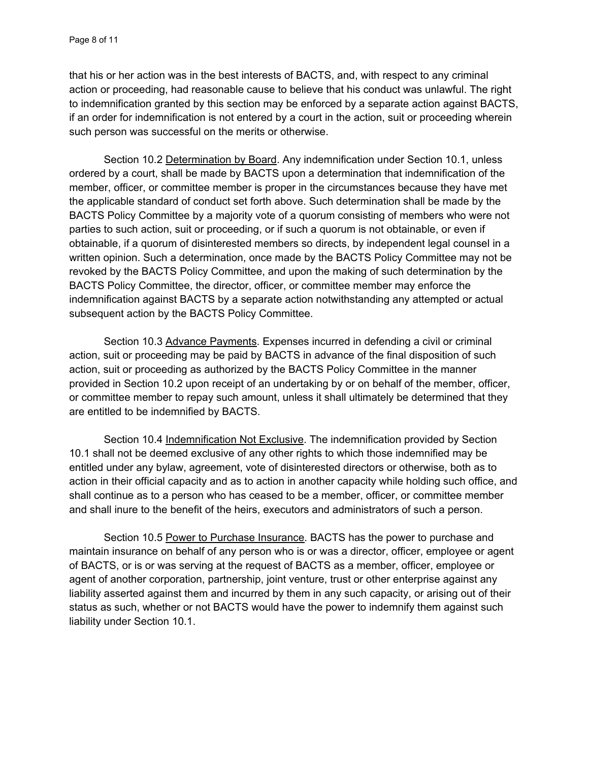that his or her action was in the best interests of BACTS, and, with respect to any criminal action or proceeding, had reasonable cause to believe that his conduct was unlawful. The right to indemnification granted by this section may be enforced by a separate action against BACTS, if an order for indemnification is not entered by a court in the action, suit or proceeding wherein such person was successful on the merits or otherwise.

 Section 10.2 Determination by Board. Any indemnification under Section 10.1, unless ordered by a court, shall be made by BACTS upon a determination that indemnification of the member, officer, or committee member is proper in the circumstances because they have met the applicable standard of conduct set forth above. Such determination shall be made by the BACTS Policy Committee by a majority vote of a quorum consisting of members who were not parties to such action, suit or proceeding, or if such a quorum is not obtainable, or even if obtainable, if a quorum of disinterested members so directs, by independent legal counsel in a written opinion. Such a determination, once made by the BACTS Policy Committee may not be revoked by the BACTS Policy Committee, and upon the making of such determination by the BACTS Policy Committee, the director, officer, or committee member may enforce the indemnification against BACTS by a separate action notwithstanding any attempted or actual subsequent action by the BACTS Policy Committee.

Section 10.3 Advance Payments. Expenses incurred in defending a civil or criminal action, suit or proceeding may be paid by BACTS in advance of the final disposition of such action, suit or proceeding as authorized by the BACTS Policy Committee in the manner provided in Section 10.2 upon receipt of an undertaking by or on behalf of the member, officer, or committee member to repay such amount, unless it shall ultimately be determined that they are entitled to be indemnified by BACTS.

Section 10.4 Indemnification Not Exclusive. The indemnification provided by Section 10.1 shall not be deemed exclusive of any other rights to which those indemnified may be entitled under any bylaw, agreement, vote of disinterested directors or otherwise, both as to action in their official capacity and as to action in another capacity while holding such office, and shall continue as to a person who has ceased to be a member, officer, or committee member and shall inure to the benefit of the heirs, executors and administrators of such a person.

Section 10.5 Power to Purchase Insurance. BACTS has the power to purchase and maintain insurance on behalf of any person who is or was a director, officer, employee or agent of BACTS, or is or was serving at the request of BACTS as a member, officer, employee or agent of another corporation, partnership, joint venture, trust or other enterprise against any liability asserted against them and incurred by them in any such capacity, or arising out of their status as such, whether or not BACTS would have the power to indemnify them against such liability under Section 10.1.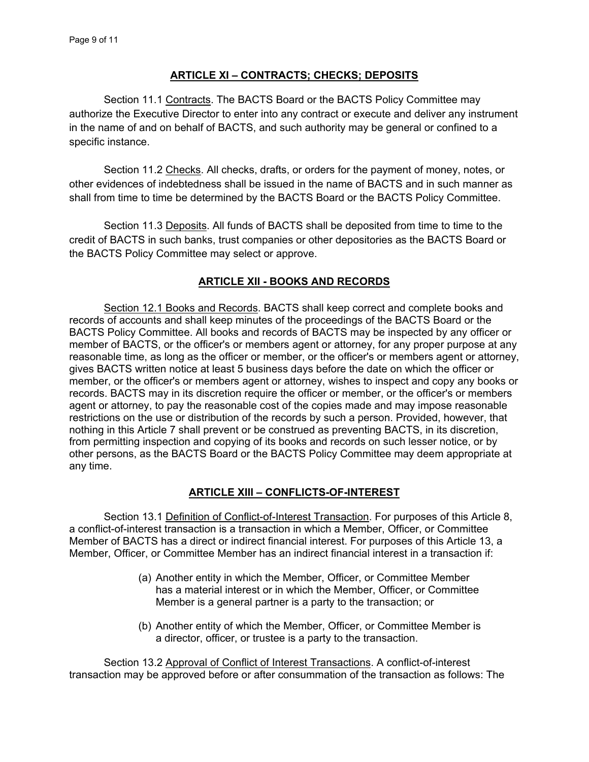## **ARTICLE XI – CONTRACTS; CHECKS; DEPOSITS**

Section 11.1 Contracts. The BACTS Board or the BACTS Policy Committee may authorize the Executive Director to enter into any contract or execute and deliver any instrument in the name of and on behalf of BACTS, and such authority may be general or confined to a specific instance.

 Section 11.2 Checks. All checks, drafts, or orders for the payment of money, notes, or other evidences of indebtedness shall be issued in the name of BACTS and in such manner as shall from time to time be determined by the BACTS Board or the BACTS Policy Committee.

 Section 11.3 Deposits. All funds of BACTS shall be deposited from time to time to the credit of BACTS in such banks, trust companies or other depositories as the BACTS Board or the BACTS Policy Committee may select or approve.

## **ARTICLE XII - BOOKS AND RECORDS**

Section 12.1 Books and Records. BACTS shall keep correct and complete books and records of accounts and shall keep minutes of the proceedings of the BACTS Board or the BACTS Policy Committee. All books and records of BACTS may be inspected by any officer or member of BACTS, or the officer's or members agent or attorney, for any proper purpose at any reasonable time, as long as the officer or member, or the officer's or members agent or attorney, gives BACTS written notice at least 5 business days before the date on which the officer or member, or the officer's or members agent or attorney, wishes to inspect and copy any books or records. BACTS may in its discretion require the officer or member, or the officer's or members agent or attorney, to pay the reasonable cost of the copies made and may impose reasonable restrictions on the use or distribution of the records by such a person. Provided, however, that nothing in this Article 7 shall prevent or be construed as preventing BACTS, in its discretion, from permitting inspection and copying of its books and records on such lesser notice, or by other persons, as the BACTS Board or the BACTS Policy Committee may deem appropriate at any time.

# **ARTICLE XIII – CONFLICTS-OF-INTEREST**

Section 13.1 Definition of Conflict-of-Interest Transaction. For purposes of this Article 8, a conflict-of-interest transaction is a transaction in which a Member, Officer, or Committee Member of BACTS has a direct or indirect financial interest. For purposes of this Article 13, a Member, Officer, or Committee Member has an indirect financial interest in a transaction if:

- (a) Another entity in which the Member, Officer, or Committee Member has a material interest or in which the Member, Officer, or Committee Member is a general partner is a party to the transaction; or
- (b) Another entity of which the Member, Officer, or Committee Member is a director, officer, or trustee is a party to the transaction.

Section 13.2 Approval of Conflict of Interest Transactions. A conflict-of-interest transaction may be approved before or after consummation of the transaction as follows: The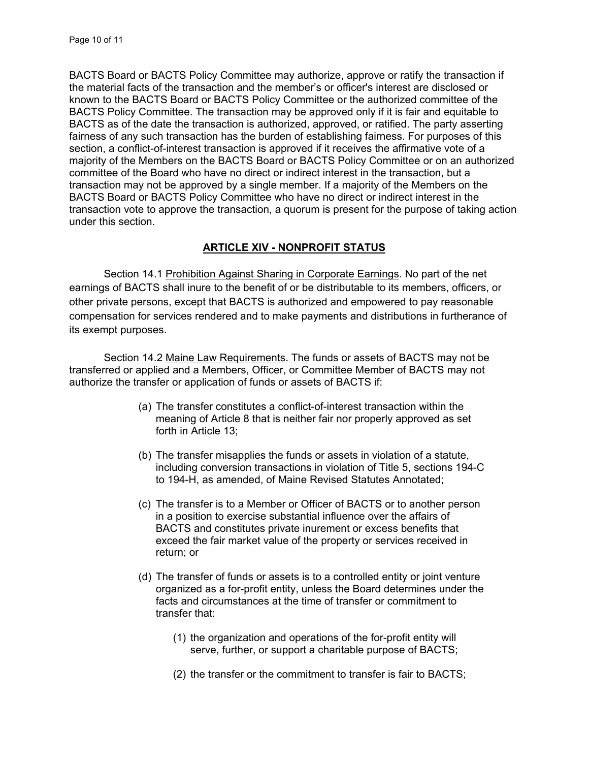BACTS Board or BACTS Policy Committee may authorize, approve or ratify the transaction if the material facts of the transaction and the member's or officer's interest are disclosed or known to the BACTS Board or BACTS Policy Committee or the authorized committee of the BACTS Policy Committee. The transaction may be approved only if it is fair and equitable to BACTS as of the date the transaction is authorized, approved, or ratified. The party asserting fairness of any such transaction has the burden of establishing fairness. For purposes of this section, a conflict-of-interest transaction is approved if it receives the affirmative vote of a majority of the Members on the BACTS Board or BACTS Policy Committee or on an authorized committee of the Board who have no direct or indirect interest in the transaction, but a transaction may not be approved by a single member. If a majority of the Members on the BACTS Board or BACTS Policy Committee who have no direct or indirect interest in the transaction vote to approve the transaction, a quorum is present for the purpose of taking action under this section.

## **ARTICLE XIV - NONPROFIT STATUS**

 Section 14.1 Prohibition Against Sharing in Corporate Earnings. No part of the net earnings of BACTS shall inure to the benefit of or be distributable to its members, officers, or other private persons, except that BACTS is authorized and empowered to pay reasonable compensation for services rendered and to make payments and distributions in furtherance of its exempt purposes.

 Section 14.2 Maine Law Requirements. The funds or assets of BACTS may not be transferred or applied and a Members, Officer, or Committee Member of BACTS may not authorize the transfer or application of funds or assets of BACTS if:

- (a) The transfer constitutes a conflict-of-interest transaction within the meaning of Article 8 that is neither fair nor properly approved as set forth in Article 13;
- (b) The transfer misapplies the funds or assets in violation of a statute, including conversion transactions in violation of Title 5, sections 194-C to 194-H, as amended, of Maine Revised Statutes Annotated;
- (c) The transfer is to a Member or Officer of BACTS or to another person in a position to exercise substantial influence over the affairs of BACTS and constitutes private inurement or excess benefits that exceed the fair market value of the property or services received in return; or
- (d) The transfer of funds or assets is to a controlled entity or joint venture organized as a for-profit entity, unless the Board determines under the facts and circumstances at the time of transfer or commitment to transfer that:
	- (1) the organization and operations of the for-profit entity will serve, further, or support a charitable purpose of BACTS;
	- (2) the transfer or the commitment to transfer is fair to BACTS;